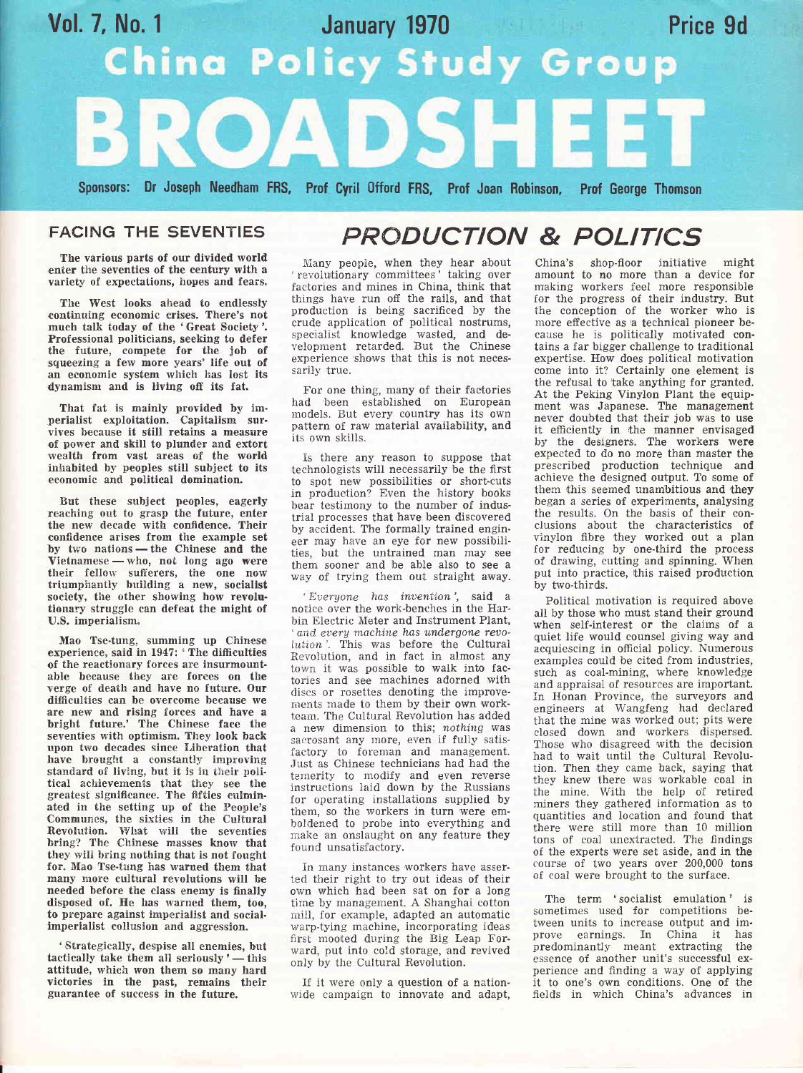

## **FACING THE SEVENTIES**

The various parts of our divided world enter the seventies of the century with a variety of expectations, hopes and fears.

The West looks ahead to endlessly continuing economic crises. There's not much talk today of the 'Great Society'. Professional politicians, seeking to defer the future, compete for the job of<br>squeezing a few more years' life out of an economic system which has lost its dynamism and is living off its fat.

That fat is mainly provided by imperialist exploitation. Capitalism survives because it still retains a measure of power and skill to plunder and extort wealth from vast areas of the world inhabited by peoples still subject to its economic and political domination.

But these subject peoples, eagerly<br>reaching out to grasp the future, enter the new decade with confidence. Their confidence arises from the example set by two nations — the Chinese and the Vietnamese - who, not long ago were their fellow sufferers, the one now triumphantly building a new, socialist society, the other showing how revolutionary struggle can defeat the might of U.S. imperialism.

Mao Tse-tung, summing up Chinese experience, said in 1947: 'The difficulties of the reactionary forces are insurmountable because they are forces on the verge of death and have no future. Our difficulties can be overcome because we are new and rising forces and have a bright future.' The Chinese face the seventies with optimism. They look back upon two decades since Liberation that have brought a constantly improving standard of living, but it is in their political achievements that they see the greatest significance. The fifties culminated in the setting up of the People's Communes, the sixties in the Cultural Revolution. What will the seventies<br>bring? The Chinese masses know that they will bring nothing that is not fought for. Mao Tse-tung has warned them that many more cultural revolutions will be needed before the class enemy is finally disposed of. He has warned them, too, to prepare against imperialist and socialimperialist collusion and aggression.

'Strategically, despise all enemies, but tactically take them all seriously'—this attitude, which won them so many hard victories in the past, remains their guarantee of success in the future.

# **PRODUCTION & POLITICS**

Many people, when they hear about 'revolutionary committees' taking over factories and mines in China, think that things have run off the rails, and that production is being sacrificed by the crude application of political nostrums, specialist knowledge wasted, and development retarded. But the Chinese experience shows that this is not necessarily true.

For one thing, many of their factories had been established on European models. But every country has its own pattern of raw material availability, and its own skills.

Is there any reason to suppose that technologists will necessarily be the first to spot new possibilities or short-cuts<br>in production? Even the history books bear testimony to the number of industrial processes that have been discovered by accident. The formally trained engineer may have an eye for new possibilities, but the untrained man may see them sooner and be able also to see a way of trying them out straight away.

'Everyone has invention', said a notice over the work-benches in the Harbin Electric Meter and Instrument Plant, ' and every machine has undergone revolution'. This was before the Cultural Revolution, and in fact in almost any town it was possible to walk into factories and see machines adorned with discs or rosettes denoting the improvements made to them by their own workteam. The Cultural Revolution has added a new dimension to this; nothing was sacrosant any more, even if fully satisfactory to foreman and management. Just as Chinese technicians had had the temerity to modify and even reverse instructions laid down by the Russians for operating installations supplied by them, so the workers in turn were emboldened to probe into everything and make an onslaught on any feature they found unsatisfactory.

In many instances workers have asserted their right to try out ideas of their own which had been sat on for a long time by management. A Shanghai cotton mill, for example, adapted an automatic warp-tying machine, incorporating ideas first mooted during the Big Leap Forward, put into cold storage, and revived only by the Cultural Revolution.

If it were only a question of a nationwide campaign to innovate and adapt,

China's shop-floor initiative might amount to no more than a device for making workers feel more responsible for the progress of their industry. But the conception of the worker who is more effective as a technical pioneer because he is politically motivated contains a far bigger challenge to traditional expertise. How does political motivation come into it? Certainly one element is the refusal to take anything for granted. At the Peking Vinylon Plant the equipment was Japanese. The management never doubted that their job was to use it efficiently in the manner envisaged by the designers. The workers were expected to do no more than master the prescribed production technique and<br>achieve the designed output. To some of them this seemed unambitious and they began a series of experiments, analysing<br>the results. On the basis of their conclusions about the characteristics of vinylon fibre they worked out a plan for reducing by one-third the process of drawing, cutting and spinning. When put into practice, this raised production by two-thirds.

Political motivation is required above all by those who must stand their ground when self-interest or the claims of a quiet life would counsel giving way and acquiescing in official policy. Numerous examples could be cited from industries, such as coal-mining, where knowledge and appraisal of resources are important. In Honan Province, the surveyors and engineers at Wangfeng had declared that the mine was worked out; pits were closed down and workers dispersed. Those who disagreed with the decision had to wait until the Cultural Revolution. Then they came back, saying that they knew there was workable coal in the mine. With the help of retired miners they gathered information as to quantities and location and found that there were still more than 10 million tons of coal unextracted. The findings of the experts were set aside, and in the course of two years over 200,000 tons of coal were brought to the surface.

The term 'socialist emulation' is sometimes used for competitions between units to increase output and improve earnings. In China it has predominantly meant extracting the essence of another unit's successful experience and finding a way of applying it to one's own conditions. One of the fields in which China's advances in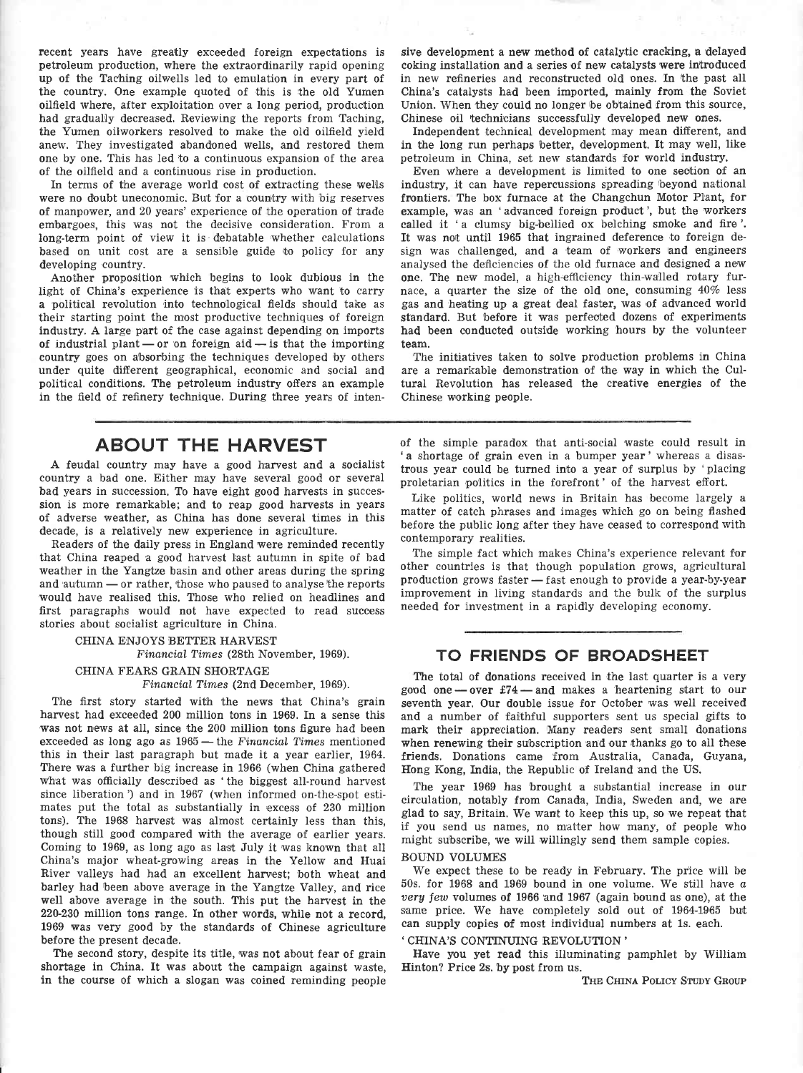recent years have greatly exceeded foreign expectations is petroleum production, where the extraordinarily rapid opening up of the Taching oilwells led to emulation in every part of the country. One example quoted of this is the old Yumen oilfield where, after exploitation over a long period, production had gradually decreased. Reviewing the reports from Taching, the Yumen oilworkers resolved to make the oid oilfield yield anew. They investigated abandoned wells, and restored them one by one, This has led to a continuous expansion of the area of the oilfield and a continuous rise in production.

In terms of the average world cost of extracting these wells were no doubt uneconomic. But for a country with big reserves of manpower, and 20 years' experience of the operation of trade embargoes, this was not the decisive consideration. From <sup>a</sup> long-term point of view it is debatable whether calculations based on unit cost are a sensible guide to policy for any developing country.

Another proposition which begins to look dubious in the light of China's experience is that experts who want to carry a political revolution into technological fields should take as their starting point the most productive techniques of foreign industry. A large part of the case against depending on imports of industrial plant  $-$  or on foreign aid  $-$  is that the importing country goes on absorbing the techniques developed by others under quite different geographical, economic and social and political conditions. The petroleum industry offers an example in the field of refinery technique. During three years of inten-

## ABOUT THE HARVEST

A feudal country may have a good harvest and a socialist country a bad one. Either may have several good or several bad years in succession. To have eight good harvests in succession is more remarkable; and to reap good harvests in years of adverse weather, as China has done several times in this decade, is a relatively new experience in agriculture.

Readers of the daily press in England were reminded recently that China reaped a good harvest last autumn in spite of bad weather in the Yangtze basin and other areas during the spring and autumn or rather, 'those who paused to analyse the reports and autumn — or rather, those who paused to analyse the reports<br>would have realised this. Those who relied on headlines and first paragraphs would not have expected to read success stories about socialist agriculture in China.

#### CHINA ENJOYS BETTER HARVEST

Financial Times (28th November, 1969).

### CHINA FEARS GRAIN SHORTAGE

### Financial Times (2nd December, 1969).

The first story started with the news that China's grain harvest had exceeded 200 million tons in 1969. In a sense this was not news at all, since the 200 million tons figure had been exceeded as long ago as  $1965$  - the Financial Times mentioned this in their last paragraph but made it a year earlier, 1964. There was a further big increase in 1966 (when China gathered what was officially described as 'the biggest all-round harvest since Iiberation') and in 1967 (when informed on-the-spot estimates put the total as substantially in excess of 230 million tons). The 1968 harvest was almost certainly less than this, though still good compared with the average of earlier years. Coming to 1969, as long ago as last July it was known that all China's major wheat-growing areas in the Yellow and Huai River valleys had had an excellent harvest; both wheat and barley had been above average in the Yangtze Valley, and rice well above average in the south. This put the harvest in the 220-230 million tons range. In other words, while not a record, 1969 was very good by the standards of Chinese agriculture before the present decade.

The second story, despite its title, was not about fear of grain shortage in China. It was about the campaign against waste, in the course of which a slogan was coined reminding people

sive development a new method of catalytic cracking, a delayed coking installation and a series of new catalysts were introduced in new refineries and reconstructed old ones. In the past all China's catalysts had been imported, mainly from the Soviet Union. When they could no Ionger be ob'tained from this source, Chinese oil technicians successfully developed new ones.

Independent technical development may mean different, and in the long run perhaps better, development. It may well, like petroleum in China, set new standards for world industry,

Even Where a development is limited to one seotion of an industry, it can have repercussions spreading beyond national frontiers, The box furnace at the Changchun Motor Plant, for example, was an 'advanced foreign product', but the workers called it 'a clumsy big-bellied ox belching smoke and fire'. It was not until 1965 that ingrained deference to foreign design was challenged, and a team of workers and engineers analysed the deficiencies of the old furnace and designed a new one. The new model, a high-efficiency thin-walled rotary furnace, a quarter the size of the old one, consuming 40% less gas and heating up a great deal faster, was of advanced world standard. But 'before it was perfected dozens of experiments had been conducted outside working hours by the volunteer team.

The initiatives taken to solve production problems in China are a remarkable demonstration of the way in which the Cultural Revolution has released the creative energies of the Chinese working people.

of the simple paradox that anti-social waste could result in 'a shortage of grain even in a bumper year' whereas a disastrous year could be turned into a year of surplus by 'placing proletarian politics in the forefront' of the harvest effort.

Like politics, world news in Britain has become largely <sup>a</sup> matter of catch phrases and images which go on being flashed before the public long after they have ceased to correspond with contemporary realities.

The simple fact which makes China's experience relevant for other countries is that though population grows, agricultural production grows faster — fast enough to provide a year-by-year production grows raster — rast enough to provide a year-by-year<br>improvement in living standards and the bulk of the surplus needed for investment in a rapidly developing economy.

### TO FRIENDS OF BROADSHEET

The total of donations received in the last quarter is a very good one -- over  $£74$  -- and makes a heartening start to our seventh year, Our double issue for October was well received and a number of faithful supporters sent us special gifts to mark their appreciation. Many readers sent small donations when renewing their subscription and our thanks go to all these friends, Donations came from Australia, Canada, Guyana, Hong Kong, India, the Republic of Ireland and the US.

The year 1969 has brought a substantial increase in our circulation, notably from Canada, India, Sweden and, we are glad to say, Britain, We want to keep this up, so we repeat that if you send us names, no matter how many, of people who might subscribe, we will willingly send them sample copies.

### BOUND VOLUMES

We expect these to be ready in February. The price will be 50s. for 1968 and 1969 bound in one volume. We still have a very few volumes of 1966 and 1967 (again bound as one), at the same price, We have completely sold out of 1964-1965 but can supply copies of most individual numbers at 1s. each.

### 'CHINA'S CONTINUING REVOLUTION'

Have you yet read this illuminating pamphlet by William Hinton? Price 2s. by post from us.

THE CHINA POLICY STUDY GROUP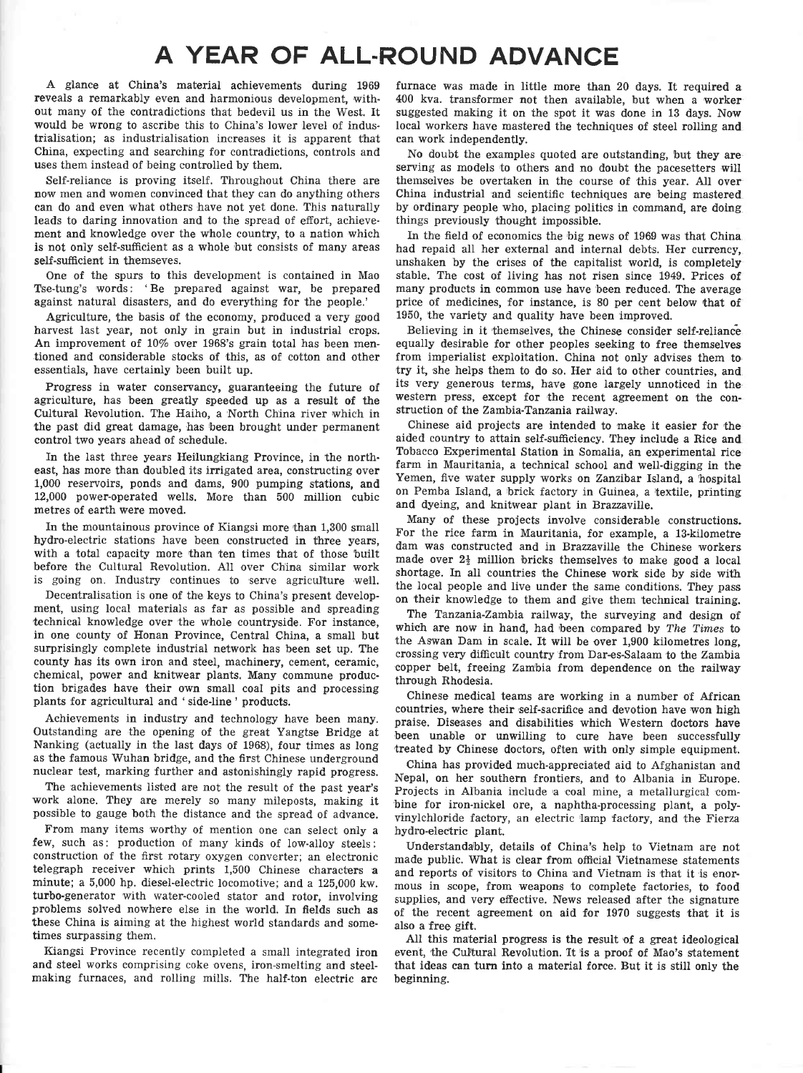## A YEAR OF ALL-ROUND ADVANCE

A glance at China's material achievements during <sup>1969</sup> reveals a remarkably even and harmonious development, without many of the contradictions that bedevil us in the West. It would be wrong to ascribe this to China's lower level of industrialisation; as industrialisation increases it is apparent that China, expecting and searching for contradictions, controls and uses them instead of being controlled by them.

Self-reliance is proving itself. Throughout China there are now men and women convinced that they can do anything others can do and even what others have not yet done. This naturally leads to daring innovation and to the spread of effort, achievement and knowledge over the whole country, to a nation which is not only self-sufficient as a whole but consists of many areas self-sufficient in themseves.

One of the spurs to this development is contained in Mao Tse-tung's words: 'Be prepared against war, be prepared against natural disasters, and do everything for the people.'

Agriculture, the basis of the economy, produced a very good harvest last year, not only in grain but in industrial crops. An improvement of 10% over 1968's grain total has been mentioned and considerable stocks of this, as of cotton and other essentials, have certainly been built up.

Progress in water conservancy, guaranteeing the future of agriculture, has been greatly speeded up as a result of the Cultural Revolution. The Haiho, a North China river twhich in the past did great damage, has been brought under permanent control two years ahead of schedule.

In the last three years Heilungkiang Province, in the northeast, has more than doubled its irrigated area, constructing over 1,000 reservoirs, ponds and dams, 900 pumping stations, and 12,000 power-operated wells. More than 500 million cubic metres of earth were moved.

In the mountainous province of Kiangsi more than 1,300 small hydro-electric stations have been constructed in three years, with a total capacity more than ten times that of those built before the Cultural Revolution. All over China similar work is going on. Industry continues to serve agriculture well.

Decentralisation is one of the keys to China's present development, using local materials as far as possible and spreading technical knowledge over the Whole countryside. For instance, in one county of Honan Province, Central China, a small but surprisingly complete industrial network has been set up. The county has its own iron and steel, machinery, cement, ceramic, chemical, power and knitwear plants. Many commune production brigades have their own small coal pits and processing plants for agricultural and 'side-line' products.

Achievements in industry and technology have been many. Outstanding are the opening of the great Yangtse Bridge at Nanking (actually in the last days of 1968), four times as long as the famous Wuhan bridge, and the first Chinese underground nuclear test, marking further and astonishingly rapid progress.

The achievements listed are not the result of the past year's work alone. They are merely so many mileposts, making it possible to gauge both the distance and the spread of advance,

From many items worthy of mention one can select only <sup>a</sup> few, such as: production of many kinds of low-alloy steels : construdtion of the first rotary oxygen converter; an electronic telegraph receiver which prints 1,500 Chinese characters a minute; a 5,000 hp. diesel-electric locomotive; and a 125,000 kw. turbo-generator with water-cooled stator and rotor, involving problems solved nowhere else in the world. In ffelds such as these China is aiming at the highest world standards and sometimes surpassing them.

Kiangsi Province recently completed a small integrated iron and steel works comprising coke ovens, iron-smelting and steelmaking furnaces, and rolling mills. The half-ton electric arc furnace was made in little more than 20 days. It required a 400 kva. transformer not then available, but when a worker suggested making it on the spot it was done in 13 days. Now local workers have mastered the techniques of steel rolling and can work independently.

No doubt the examples quoted are outstanding, but they are serving as models to others and no doubt the pacesetters will themselves be overtaken in the course of this year. AII over China industrial and scientific techniques are being mastered by ordinary people who, placing politics in command, are doing things previously thought impossible.

In the field of economics the big news of 1969 was'that China had repaid all her external and internal debts. Her currency, unshaken by the crises of the capitalist world, is completely stable. The cost of living has not risen since 1949. Prices of many products in common use have been reduced. The average price of medicines, for instance, is 80 per cent below that of 1950, the variety and quality have been improved.

Believing in it themselves, the Chinese consider self-reliance egually desirable for other peoples seeking to free themselves from imperialist exploltation. China not only advises them to try it, she helps them to do so. Her aid to other countries, and its very generous terms, have gone largely unnoticed in the western press, except for the recent agreement on the construction of the Zambia-Tanzania railway.

Chinese aid projects are intended to make it easier for the aided country to attain self-sufficiency. They include a Rice and Tobacco Experimental Station in Somalia, an experimental rice farm in Mauritania, a technical school and well-digging in the Yemen, five water supply works on Zanzibar Island, a hospital on Pemba Island, a brick factory in Guinea, a textile, printing and dyeing, and knitwear plant in Brazzaville.

Many of these projects involve considerable constructions. For the rice farm in Mauritania, for example, a l3-kilometre dam was constructed and in Brazzaville the Chinese workers made over  $2\frac{1}{2}$  million bricks themselves to make good a local shortage. In all countries the Chinese work side by side with the local people and live under the same conditions. They pass on their knowledge to them and give them technical training.

The Tanzania-Zambia railway, the surveying and design of which are now in hand, had been compared by The Times to the Aswan Dam in scale. It will be over 1,900 kilometres long, crossing very difficult country from Dar-es-Salaam to the Zambia copper belt, freeing Zambia from dependence on the railway through Rhodesia.

Chinese medical teams are working in a number of African countries, where their self-sacrifce and devotion have won high praise. Diseases and disabilities which Western doctors have been unable or unwilling to cure have been successfully treated by Chinese doctors, often with only simple equipment.

China has provided much-appreciated aid to Afghanistan and Nepal, on her southern frontiers, and to Albania in Europe. Projects in Albania include a coal mine, a metallurgical combine for iron-nickel ore, a naphtha-processing plant, a polyvinylchloride factory, an electric lamp factory, and the Fierza hydro-electric plant.

Understandably, details of China's help to Vietnam are not made public. What is clear from official Vietnamese statements and reports of visitors to China and Vietnam is that it is enormous in scope, from weapons to complete factories, to food supplies, and very effective. News released after the signature of the recent agreement on aid for 1970 suggests that it is also a free gift,

All this material progress is the result of a great ideological event, the Oultural Revolution. It is a proof of Mao's statement that ideas can turn into a material force. But it is still only the beginning.